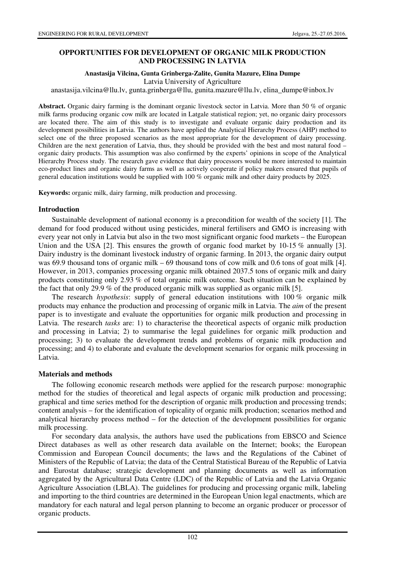## **OPPORTUNITIES FOR DEVELOPMENT OF ORGANIC MILK PRODUCTION AND PROCESSING IN LATVIA**

#### **Anastasija Vilcina, Gunta Grinberga-Zalite, Gunita Mazure, Elina Dumpe**

Latvia University of Agriculture

anastasija.vilcina@llu.lv, gunta.grinberga@llu, gunita.mazure@llu.lv, elina\_dumpe@inbox.lv

**Abstract.** Organic dairy farming is the dominant organic livestock sector in Latvia. More than 50 % of organic milk farms producing organic cow milk are located in Latgale statistical region; yet, no organic dairy processors are located there. The aim of this study is to investigate and evaluate organic dairy production and its development possibilities in Latvia. The authors have applied the Analytical Hierarchy Process (AHP) method to select one of the three proposed scenarios as the most appropriate for the development of dairy processing. Children are the next generation of Latvia, thus, they should be provided with the best and most natural food – organic dairy products. This assumption was also confirmed by the experts' opinions in scope of the Analytical Hierarchy Process study. The research gave evidence that dairy processors would be more interested to maintain eco-product lines and organic dairy farms as well as actively cooperate if policy makers ensured that pupils of general education institutions would be supplied with 100 % organic milk and other dairy products by 2025.

**Keywords:** organic milk, dairy farming, milk production and processing.

### **Introduction**

Sustainable development of national economy is a precondition for wealth of the society [1]. The demand for food produced without using pesticides, mineral fertilisers and GMO is increasing with every year not only in Latvia but also in the two most significant organic food markets – the European Union and the USA [2]. This ensures the growth of organic food market by 10-15 % annually [3]. Dairy industry is the dominant livestock industry of organic farming. In 2013, the organic dairy output was 69.9 thousand tons of organic milk – 69 thousand tons of cow milk and 0.6 tons of goat milk [4]. However, in 2013, companies processing organic milk obtained 2037.5 tons of organic milk and dairy products constituting only 2.93 % of total organic milk outcome. Such situation can be explained by the fact that only 29.9 % of the produced organic milk was supplied as organic milk [5].

The research *hypothesis*: supply of general education institutions with 100 % organic milk products may enhance the production and processing of organic milk in Latvia. The *aim* of the present paper is to investigate and evaluate the opportunities for organic milk production and processing in Latvia. The research *tasks* are: 1) to characterise the theoretical aspects of organic milk production and processing in Latvia; 2) to summarise the legal guidelines for organic milk production and processing; 3) to evaluate the development trends and problems of organic milk production and processing; and 4) to elaborate and evaluate the development scenarios for organic milk processing in Latvia.

### **Materials and methods**

The following economic research methods were applied for the research purpose: monographic method for the studies of theoretical and legal aspects of organic milk production and processing; graphical and time series method for the description of organic milk production and processing trends; content analysis – for the identification of topicality of organic milk production; scenarios method and analytical hierarchy process method – for the detection of the development possibilities for organic milk processing.

For secondary data analysis, the authors have used the publications from EBSCO and Science Direct databases as well as other research data available on the Internet; books; the European Commission and European Council documents; the laws and the Regulations of the Cabinet of Ministers of the Republic of Latvia; the data of the Central Statistical Bureau of the Republic of Latvia and Eurostat database; strategic development and planning documents as well as information aggregated by the Agricultural Data Centre (LDC) of the Republic of Latvia and the Latvia Organic Agriculture Association (LBLA). The guidelines for producing and processing organic milk, labeling and importing to the third countries are determined in the European Union legal enactments, which are mandatory for each natural and legal person planning to become an organic producer or processor of organic products.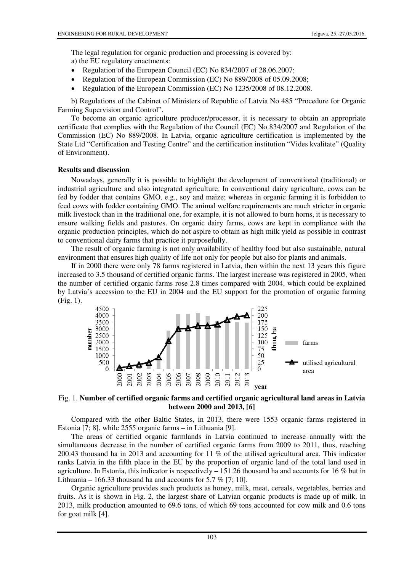The legal regulation for organic production and processing is covered by: a) the EU regulatory enactments:

- Regulation of the European Council (EC) No 834/2007 of 28.06.2007;
- Regulation of the European Commission (EC) No 889/2008 of 05.09.2008;
- Regulation of the European Commission (EC) No 1235/2008 of 08.12.2008.

b) Regulations of the Cabinet of Ministers of Republic of Latvia No 485 "Procedure for Organic Farming Supervision and Control".

To become an organic agriculture producer/processor, it is necessary to obtain an appropriate certificate that complies with the Regulation of the Council (EC) No 834/2007 and Regulation of the Commission (EC) No 889/2008. In Latvia, organic agriculture certification is implemented by the State Ltd "Certification and Testing Centre" and the certification institution "Vides kvalitate" (Quality of Environment).

### **Results and discussion**

Nowadays, generally it is possible to highlight the development of conventional (traditional) or industrial agriculture and also integrated agriculture. In conventional dairy agriculture, cows can be fed by fodder that contains GMO, e.g., soy and maize; whereas in organic farming it is forbidden to feed cows with fodder containing GMO. The animal welfare requirements are much stricter in organic milk livestock than in the traditional one, for example, it is not allowed to burn horns, it is necessary to ensure walking fields and pastures. On organic dairy farms, cows are kept in compliance with the organic production principles, which do not aspire to obtain as high milk yield as possible in contrast to conventional dairy farms that practice it purposefully.

The result of organic farming is not only availability of healthy food but also sustainable, natural environment that ensures high quality of life not only for people but also for plants and animals.

If in 2000 there were only 78 farms registered in Latvia, then within the next 13 years this figure increased to 3.5 thousand of certified organic farms. The largest increase was registered in 2005, when the number of certified organic farms rose 2.8 times compared with 2004, which could be explained by Latvia's accession to the EU in 2004 and the EU support for the promotion of organic farming (Fig. 1).



## Fig. 1. **Number of certified organic farms and certified organic agricultural land areas in Latvia between 2000 and 2013, [6]**

Compared with the other Baltic States, in 2013, there were 1553 organic farms registered in Estonia [7; 8], while 2555 organic farms – in Lithuania [9].

The areas of certified organic farmlands in Latvia continued to increase annually with the simultaneous decrease in the number of certified organic farms from 2009 to 2011, thus, reaching 200.43 thousand ha in 2013 and accounting for 11 % of the utilised agricultural area. This indicator ranks Latvia in the fifth place in the EU by the proportion of organic land of the total land used in agriculture. In Estonia, this indicator is respectively  $-151.26$  thousand ha and accounts for 16 % but in Lithuania – 166.33 thousand ha and accounts for 5.7  $\%$  [7; 10].

Organic agriculture provides such products as honey, milk, meat, cereals, vegetables, berries and fruits. As it is shown in Fig. 2, the largest share of Latvian organic products is made up of milk. In 2013, milk production amounted to 69.6 tons, of which 69 tons accounted for cow milk and 0.6 tons for goat milk [4].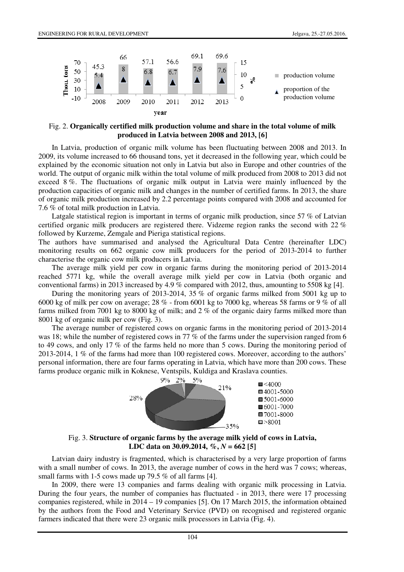

Fig. 2. **Organically certified milk production volume and share in the total volume of milk produced in Latvia between 2008 and 2013, [6]**

In Latvia, production of organic milk volume has been fluctuating between 2008 and 2013. In 2009, its volume increased to 66 thousand tons, yet it decreased in the following year, which could be explained by the economic situation not only in Latvia but also in Europe and other countries of the world. The output of organic milk within the total volume of milk produced from 2008 to 2013 did not exceed 8 %. The fluctuations of organic milk output in Latvia were mainly influenced by the production capacities of organic milk and changes in the number of certified farms. In 2013, the share of organic milk production increased by 2.2 percentage points compared with 2008 and accounted for 7.6 % of total milk production in Latvia.

Latgale statistical region is important in terms of organic milk production, since 57 % of Latvian certified organic milk producers are registered there. Vidzeme region ranks the second with 22 % followed by Kurzeme, Zemgale and Pieriga statistical regions.

The authors have summarised and analysed the Agricultural Data Centre (hereinafter LDC) monitoring results on 662 organic cow milk producers for the period of 2013-2014 to further characterise the organic cow milk producers in Latvia.

The average milk yield per cow in organic farms during the monitoring period of 2013-2014 reached 5771 kg, while the overall average milk yield per cow in Latvia (both organic and conventional farms) in 2013 increased by 4.9 % compared with 2012, thus, amounting to 5508 kg [4].

During the monitoring years of 2013-2014, 35 % of organic farms milked from 5001 kg up to 6000 kg of milk per cow on average;  $28\%$  - from 6001 kg to 7000 kg, whereas 58 farms or 9 % of all farms milked from 7001 kg to 8000 kg of milk; and 2 % of the organic dairy farms milked more than 8001 kg of organic milk per cow (Fig. 3).

The average number of registered cows on organic farms in the monitoring period of 2013-2014 was 18; while the number of registered cows in 77 % of the farms under the supervision ranged from 6 to 49 cows, and only 17 % of the farms held no more than 5 cows. During the monitoring period of 2013-2014, 1 % of the farms had more than 100 registered cows. Moreover, according to the authors' personal information, there are four farms operating in Latvia, which have more than 200 cows. These farms produce organic milk in Koknese, Ventspils, Kuldiga and Kraslava counties.



Fig. 3. **Structure of organic farms by the average milk yield of cows in Latvia, LDC data on 30.09.2014, %,** *N* **= 662 [5]**

Latvian dairy industry is fragmented, which is characterised by a very large proportion of farms with a small number of cows. In 2013, the average number of cows in the herd was 7 cows; whereas, small farms with 1-5 cows made up 79.5 % of all farms [4].

In 2009, there were 13 companies and farms dealing with organic milk processing in Latvia. During the four years, the number of companies has fluctuated - in 2013, there were 17 processing companies registered, while in 2014 – 19 companies [5]. On 17 March 2015, the information obtained by the authors from the Food and Veterinary Service (PVD) on recognised and registered organic farmers indicated that there were 23 organic milk processors in Latvia (Fig. 4).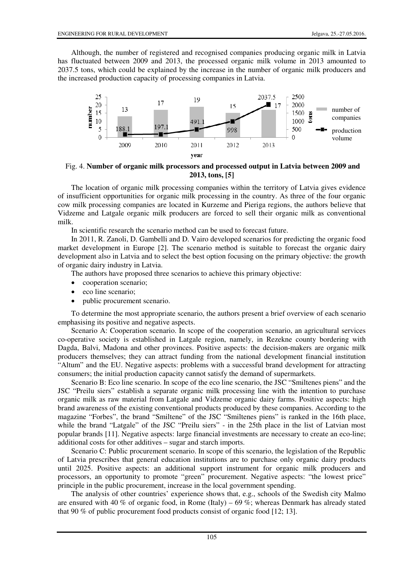Although, the number of registered and recognised companies producing organic milk in Latvia has fluctuated between 2009 and 2013, the processed organic milk volume in 2013 amounted to 2037.5 tons, which could be explained by the increase in the number of organic milk producers and the increased production capacity of processing companies in Latvia.



Fig. 4. **Number of organic milk processors and processed output in Latvia between 2009 and 2013, tons, [5]**

The location of organic milk processing companies within the territory of Latvia gives evidence of insufficient opportunities for organic milk processing in the country. As three of the four organic cow milk processing companies are located in Kurzeme and Pieriga regions, the authors believe that Vidzeme and Latgale organic milk producers are forced to sell their organic milk as conventional milk.

In scientific research the scenario method can be used to forecast future.

In 2011, R. Zanoli, D. Gambelli and D. Vairo developed scenarios for predicting the organic food market development in Europe [2]. The scenario method is suitable to forecast the organic dairy development also in Latvia and to select the best option focusing on the primary objective: the growth of organic dairy industry in Latvia.

The authors have proposed three scenarios to achieve this primary objective:

- cooperation scenario;
- eco line scenario;
- public procurement scenario.

To determine the most appropriate scenario, the authors present a brief overview of each scenario emphasising its positive and negative aspects.

Scenario A: Cooperation scenario. In scope of the cooperation scenario, an agricultural services co-operative society is established in Latgale region, namely, in Rezekne county bordering with Dagda, Balvi, Madona and other provinces. Positive aspects: the decision-makers are organic milk producers themselves; they can attract funding from the national development financial institution "Altum" and the EU. Negative aspects: problems with a successful brand development for attracting consumers; the initial production capacity cannot satisfy the demand of supermarkets.

Scenario B: Eco line scenario. In scope of the eco line scenario, the JSC "Smiltenes piens" and the JSC "Preilu siers" establish a separate organic milk processing line with the intention to purchase organic milk as raw material from Latgale and Vidzeme organic dairy farms. Positive aspects: high brand awareness of the existing conventional products produced by these companies. According to the magazine "Forbes", the brand "Smiltene" of the JSC "Smiltenes piens" is ranked in the 16th place, while the brand "Latgale" of the JSC "Preilu siers" - in the 25th place in the list of Latvian most popular brands [11]. Negative aspects: large financial investments are necessary to create an eco-line; additional costs for other additives – sugar and starch imports.

Scenario C: Public procurement scenario. In scope of this scenario, the legislation of the Republic of Latvia prescribes that general education institutions are to purchase only organic dairy products until 2025. Positive aspects: an additional support instrument for organic milk producers and processors, an opportunity to promote "green" procurement. Negative aspects: "the lowest price" principle in the public procurement, increase in the local government spending.

The analysis of other countries' experience shows that, e.g., schools of the Swedish city Malmo are ensured with 40 % of organic food, in Rome (Italy) – 69 %; whereas Denmark has already stated that 90 % of public procurement food products consist of organic food [12; 13].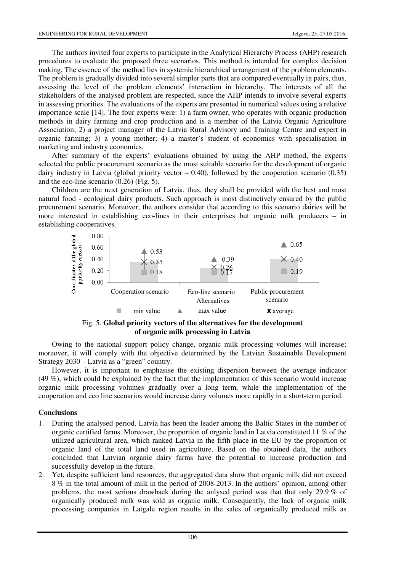The authors invited four experts to participate in the Analytical Hierarchy Process (AHP) research procedures to evaluate the proposed three scenarios. This method is intended for complex decision making. The essence of the method lies in systemic hierarchical arrangement of the problem elements. The problem is gradually divided into several simpler parts that are compared eventually in pairs, thus, assessing the level of the problem elements' interaction in hierarchy. The interests of all the stakeholders of the analysed problem are respected, since the AHP intends to involve several experts in assessing priorities. The evaluations of the experts are presented in numerical values using a relative importance scale [14]. The four experts were: 1) a farm owner, who operates with organic production methods in dairy farming and crop production and is a member of the Latvia Organic Agriculture Association; 2) a project manager of the Latvia Rural Advisory and Training Centre and expert in organic farming; 3) a young mother; 4) a master's student of economics with specialisation in marketing and industry economics.

After summary of the experts' evaluations obtained by using the AHP method, the experts selected the public procurement scenario as the most suitable scenario for the development of organic dairy industry in Latvia (global priority vector  $-$  0.40), followed by the cooperation scenario (0.35) and the eco-line scenario (0.26) (Fig. 5).

Children are the next generation of Latvia, thus, they shall be provided with the best and most natural food - ecological dairy products. Such approach is most distinctively ensured by the public procurement scenario. Moreover, the authors consider that according to this scenario dairies will be more interested in establishing eco-lines in their enterprises but organic milk producers – in establishing cooperatives.



Fig. 5. **Global priority vectors of the alternatives for the development of organic milk processing in Latvia**

Owing to the national support policy change, organic milk processing volumes will increase; moreover, it will comply with the objective determined by the Latvian Sustainable Development Strategy 2030 – Latvia as a "green" country.

However, it is important to emphasise the existing dispersion between the average indicator (49 %), which could be explained by the fact that the implementation of this scenario would increase organic milk processing volumes gradually over a long term, while the implementation of the cooperation and eco line scenarios would increase dairy volumes more rapidly in a short-term period.

#### **Conclusions**

- 1. During the analysed period, Latvia has been the leader among the Baltic States in the number of organic certified farms. Moreover, the proportion of organic land in Latvia constituted 11 % of the utilized agricultural area, which ranked Latvia in the fifth place in the EU by the proportion of organic land of the total land used in agriculture. Based on the obtained data, the authors concluded that Latvian organic dairy farms have the potential to increase production and successfully develop in the future.
- 2. Yet, despite sufficient land resources, the aggregated data show that organic milk did not exceed 8 % in the total amount of milk in the period of 2008-2013. In the authors' opinion, among other problems, the most serious drawback during the anlysed period was that that only 29.9 % of organically produced milk was sold as organic milk. Consequently, the lack of organic milk processing companies in Latgale region results in the sales of organically produced milk as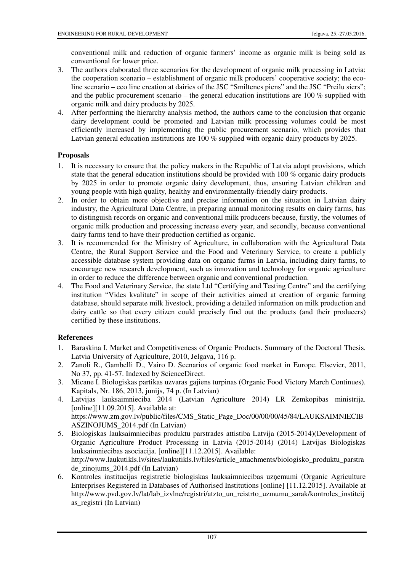conventional milk and reduction of organic farmers' income as organic milk is being sold as conventional for lower price.

- 3. The authors elaborated three scenarios for the development of organic milk processing in Latvia: the cooperation scenario – establishment of organic milk producers' cooperative society; the ecoline scenario – eco line creation at dairies of the JSC "Smiltenes piens" and the JSC "Preilu siers"; and the public procurement scenario – the general education institutions are 100 % supplied with organic milk and dairy products by 2025.
- 4. After performing the hierarchy analysis method, the authors came to the conclusion that organic dairy development could be promoted and Latvian milk processing volumes could be most efficiently increased by implementing the public procurement scenario, which provides that Latvian general education institutions are 100 % supplied with organic dairy products by 2025.

# **Proposals**

- 1. It is necessary to ensure that the policy makers in the Republic of Latvia adopt provisions, which state that the general education institutions should be provided with 100 % organic dairy products by 2025 in order to promote organic dairy development, thus, ensuring Latvian children and young people with high quality, healthy and environmentally-friendly dairy products.
- 2. In order to obtain more objective and precise information on the situation in Latvian dairy industry, the Agricultural Data Centre, in preparing annual monitoring results on dairy farms, has to distinguish records on organic and conventional milk producers because, firstly, the volumes of organic milk production and processing increase every year, and secondly, because conventional dairy farms tend to have their production certified as organic.
- 3. It is recommended for the Ministry of Agriculture, in collaboration with the Agricultural Data Centre, the Rural Support Service and the Food and Veterinary Service, to create a publicly accessible database system providing data on organic farms in Latvia, including dairy farms, to encourage new research development, such as innovation and technology for organic agriculture in order to reduce the difference between organic and conventional production.
- 4. The Food and Veterinary Service, the state Ltd "Certifying and Testing Centre" and the certifying institution "Vides kvalitate" in scope of their activities aimed at creation of organic farming database, should separate milk livestock, providing a detailed information on milk production and dairy cattle so that every citizen could precisely find out the products (and their producers) certified by these institutions.

# **References**

- 1. Baraskina I. Market and Competitiveness of Organic Products. Summary of the Doctoral Thesis. Latvia University of Agriculture, 2010, Jelgava, 116 p.
- 2. Zanoli R., Gambelli D., Vairo D. Scenarios of organic food market in Europe. Elsevier, 2011, No 37, pp. 41-57. Indexed by ScienceDirect.
- 3. Micane I. Biologiskas partikas uzvaras gajiens turpinas (Organic Food Victory March Continues). Kapitals, Nr. 186, 2013, junijs, 74 p. (In Latvian)
- 4. Latvijas lauksaimnieciba 2014 (Latvian Agriculture 2014) LR Zemkopibas ministrija.  $[online][11.09.2015]$ . Available at: https://www.zm.gov.lv/public/files/CMS\_Static\_Page\_Doc/00/00/00/45/84/LAUKSAIMNIECIB ASZINOJUMS\_2014.pdf (In Latvian)
- 5. Biologiskas lauksaimniecibas produktu parstrades attistiba Latvija (2015-2014)(Development of Organic Agriculture Product Processing in Latvia (2015-2014) (2014) Latvijas Biologiskas lauksaimniecibas asociacija. [online][11.12.2015]. Available: http://www.laukutikls.lv/sites/laukutikls.lv/files/article\_attachments/biologisko\_produktu\_parstra de\_zinojums\_2014.pdf (In Latvian)
- 6. Kontroles institucijas registretie biologiskas lauksaimniecibas uzņemumi (Organic Agriculture Enterprises Registered in Databases of Authorised Institutions [online] [11.12.2015]. Available at http://www.pvd.gov.lv/lat/lab\_izvlne/registri/atzto\_un\_reistrto\_uzmumu\_sarak/kontroles\_institcij as\_registri (In Latvian)